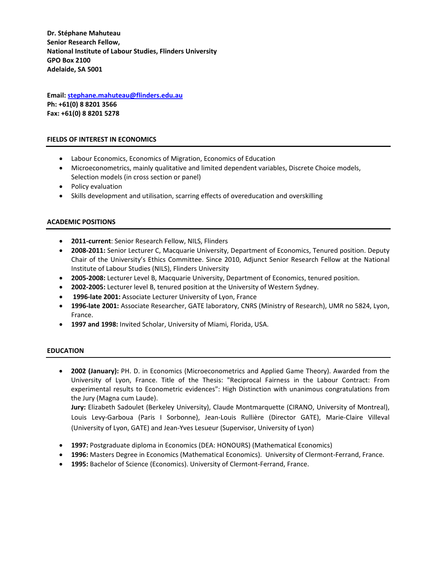**Dr. Stéphane Mahuteau Senior Research Fellow, National Institute of Labour Studies, Flinders University GPO Box 2100 Adelaide, SA 5001**

**Email: stephane.mahuteau@flinders.edu.au Ph: +61(0) 8 8201 3566 Fax: +61(0) 8 8201 5278**

#### **FIELDS OF INTEREST IN ECONOMICS**

- Labour Economics, Economics of Migration, Economics of Education
- Microeconometrics, mainly qualitative and limited dependent variables, Discrete Choice models, Selection models (in cross section or panel)
- Policy evaluation
- Skills development and utilisation, scarring effects of overeducation and overskilling

#### **ACADEMIC POSITIONS**

- **2011‐current**: Senior Research Fellow, NILS, Flinders
- **2008‐2011:** Senior Lecturer C, Macquarie University, Department of Economics, Tenured position. Deputy Chair of the University's Ethics Committee. Since 2010, Adjunct Senior Research Fellow at the National Institute of Labour Studies (NILS), Flinders University
- **2005‐2008:** Lecturer Level B, Macquarie University, Department of Economics, tenured position.
- **2002‐2005:** Lecturer level B, tenured position at the University of Western Sydney.
- **1996‐late 2001:** Associate Lecturer University of Lyon, France
- **1996‐late 2001:** Associate Researcher, GATE laboratory, CNRS (Ministry of Research), UMR no 5824, Lyon, France.
- **1997 and 1998:** Invited Scholar, University of Miami, Florida, USA.

#### **EDUCATION**

 **2002 (January):** PH. D. in Economics (Microeconometrics and Applied Game Theory). Awarded from the University of Lyon, France. Title of the Thesis: "Reciprocal Fairness in the Labour Contract: From experimental results to Econometric evidences": High Distinction with unanimous congratulations from the Jury (Magna cum Laude). **Jury:** Elizabeth Sadoulet (Berkeley University), Claude Montmarquette (CIRANO, University of Montreal), Louis Levy‐Garboua (Paris I Sorbonne), Jean‐Louis Rullière (Director GATE), Marie‐Claire Villeval

(University of Lyon, GATE) and Jean‐Yves Lesueur (Supervisor, University of Lyon)

- **1997:** Postgraduate diploma in Economics (DEA: HONOURS) (Mathematical Economics)
- **1996:** Masters Degree in Economics (Mathematical Economics). University of Clermont-Ferrand, France.
- **1995:** Bachelor of Science (Economics). University of Clermont‐Ferrand, France.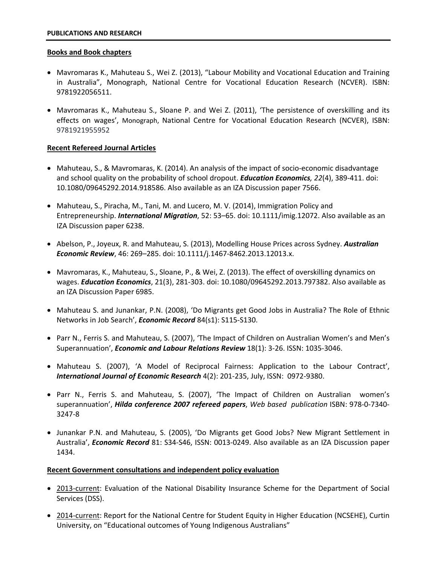#### **Books and Book chapters**

- Mavromaras K., Mahuteau S., Wei Z. (2013), "Labour Mobility and Vocational Education and Training in Australia", Monograph, National Centre for Vocational Education Research (NCVER). ISBN: 9781922056511.
- Mavromaras K., Mahuteau S., Sloane P. and Wei Z. (2011), 'The persistence of overskilling and its effects on wages', Monograph, National Centre for Vocational Education Research (NCVER), ISBN: 9781921955952

# **Recent Refereed Journal Articles**

- Mahuteau, S., & Mavromaras, K. (2014). An analysis of the impact of socio-economic disadvantage and school quality on the probability of school dropout. *Education Economics, 22*(4), 389‐411. doi: 10.1080/09645292.2014.918586. Also available as an IZA Discussion paper 7566.
- Mahuteau, S., Piracha, M., Tani, M. and Lucero, M. V. (2014), Immigration Policy and Entrepreneurship. *International Migration*, 52: 53–65. doi: 10.1111/imig.12072. Also available as an IZA Discussion paper 6238.
- Abelson, P., Joyeux, R. and Mahuteau, S. (2013), Modelling House Prices across Sydney. *Australian Economic Review*, 46: 269–285. doi: 10.1111/j.1467‐8462.2013.12013.x.
- Mavromaras, K., Mahuteau, S., Sloane, P., & Wei, Z. (2013). The effect of overskilling dynamics on wages. *Education Economics*, 21(3), 281‐303. doi: 10.1080/09645292.2013.797382. Also available as an IZA Discussion Paper 6985.
- Mahuteau S. and Junankar, P.N. (2008), 'Do Migrants get Good Jobs in Australia? The Role of Ethnic Networks in Job Search', *Economic Record* 84(s1): S115‐S130.
- Parr N., Ferris S. and Mahuteau, S. (2007), 'The Impact of Children on Australian Women's and Men's Superannuation', *Economic and Labour Relations Review* 18(1): 3‐26. ISSN: 1035‐3046.
- Mahuteau S. (2007), 'A Model of Reciprocal Fairness: Application to the Labour Contract', *International Journal of Economic Research* 4(2): 201‐235, July, ISSN: 0972‐9380.
- Parr N., Ferris S. and Mahuteau, S. (2007), 'The Impact of Children on Australian women's superannuation', *Hilda conference 2007 refereed papers*, *Web based publication* ISBN: 978‐0‐7340‐ 3247‐8
- Junankar P.N. and Mahuteau, S. (2005), 'Do Migrants get Good Jobs? New Migrant Settlement in Australia', *Economic Record* 81: S34‐S46, ISSN: 0013‐0249. Also available as an IZA Discussion paper 1434.

# **Recent Government consultations and independent policy evaluation**

- 2013-current: Evaluation of the National Disability Insurance Scheme for the Department of Social Services (DSS).
- 2014-current: Report for the National Centre for Student Equity in Higher Education (NCSEHE), Curtin University, on "Educational outcomes of Young Indigenous Australians"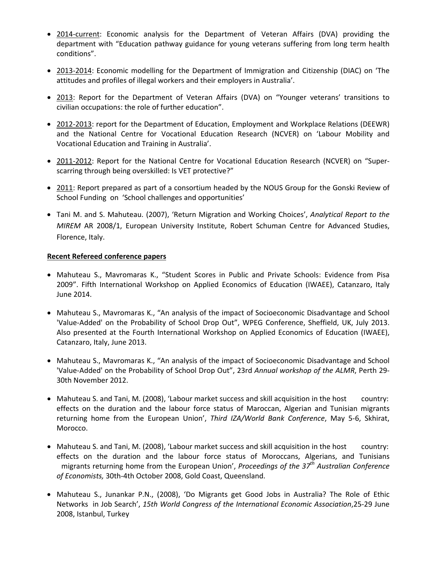- 2014-current: Economic analysis for the Department of Veteran Affairs (DVA) providing the department with "Education pathway guidance for young veterans suffering from long term health conditions".
- 2013-2014: Economic modelling for the Department of Immigration and Citizenship (DIAC) on 'The attitudes and profiles of illegal workers and their employers in Australia'.
- 2013: Report for the Department of Veteran Affairs (DVA) on "Younger veterans' transitions to civilian occupations: the role of further education".
- 2012-2013: report for the Department of Education, Employment and Workplace Relations (DEEWR) and the National Centre for Vocational Education Research (NCVER) on 'Labour Mobility and Vocational Education and Training in Australia'.
- 2011-2012: Report for the National Centre for Vocational Education Research (NCVER) on "Superscarring through being overskilled: Is VET protective?"
- 2011: Report prepared as part of a consortium headed by the NOUS Group for the Gonski Review of School Funding on 'School challenges and opportunities'
- Tani M. and S. Mahuteau. (2007), 'Return Migration and Working Choices', *Analytical Report to the MIREM* AR 2008/1, European University Institute, Robert Schuman Centre for Advanced Studies, Florence, Italy.

# **Recent Refereed conference papers**

- Mahuteau S., Mavromaras K., "Student Scores in Public and Private Schools: Evidence from Pisa 2009". Fifth International Workshop on Applied Economics of Education (IWAEE), Catanzaro, Italy June 2014.
- Mahuteau S., Mavromaras K., "An analysis of the impact of Socioeconomic Disadvantage and School 'Value‐Added' on the Probability of School Drop Out", WPEG Conference, Sheffield, UK, July 2013. Also presented at the Fourth International Workshop on Applied Economics of Education (IWAEE), Catanzaro, Italy, June 2013.
- Mahuteau S., Mavromaras K., "An analysis of the impact of Socioeconomic Disadvantage and School 'Value‐Added' on the Probability of School Drop Out", 23rd *Annual workshop of the ALMR*, Perth 29‐ 30th November 2012.
- Mahuteau S. and Tani, M. (2008), 'Labour market success and skill acquisition in the host country: effects on the duration and the labour force status of Maroccan, Algerian and Tunisian migrants returning home from the European Union', *Third IZA/World Bank Conference*, May 5‐6, Skhirat, Morocco.
- Mahuteau S. and Tani, M. (2008), 'Labour market success and skill acquisition in the host country: effects on the duration and the labour force status of Moroccans, Algerians, and Tunisians migrants returning home from the European Union', *Proceedings of the 37th Australian Conference of Economists,* 30th‐4th October 2008, Gold Coast, Queensland.
- Mahuteau S., Junankar P.N., (2008), 'Do Migrants get Good Jobs in Australia? The Role of Ethic Networks in Job Search', *15th World Congress of the International Economic Association*,25‐29 June 2008, Istanbul, Turkey